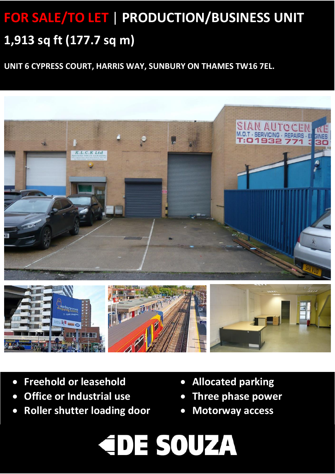# **FOR SALE/TO LET** | **PRODUCTION/BUSINESS UNIT 1,913 sq ft (177.7 sq m)**

**UNIT 6 CYPRESS COURT, HARRIS WAY, SUNBURY ON THAMES TW16 7EL.**





- **Freehold or leasehold**
- **Office or Industrial use**

• **LED Lighting**

- **Roller shutter loading door**
- **Allocated parking**
- **Three phase power**
- **Motorway access**